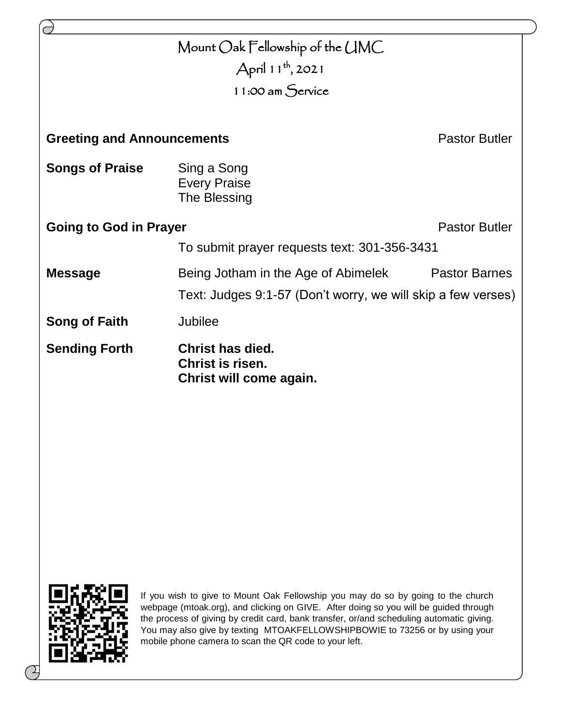| Mount Oak Fellowship of the UMC   |                                                                                                     |                      |
|-----------------------------------|-----------------------------------------------------------------------------------------------------|----------------------|
| April 11 <sup>th</sup> , 2021     |                                                                                                     |                      |
| 11:00 am Service                  |                                                                                                     |                      |
|                                   |                                                                                                     |                      |
| <b>Greeting and Announcements</b> |                                                                                                     | <b>Pastor Butler</b> |
| <b>Songs of Praise</b>            | Sing a Song<br><b>Every Praise</b><br><b>The Blessing</b>                                           |                      |
| <b>Going to God in Prayer</b>     |                                                                                                     | <b>Pastor Butler</b> |
|                                   | To submit prayer requests text: 301-356-3431                                                        |                      |
| <b>Message</b>                    | Being Jotham in the Age of Abimelek<br>Text: Judges 9:1-57 (Don't worry, we will skip a few verses) | <b>Pastor Barnes</b> |
| Song of Faith                     | Jubilee                                                                                             |                      |
| <b>Sending Forth</b>              | Christ has died.<br>Christ is risen.<br>Christ will come again.                                     |                      |



 $\mathcal{D}_{\mathcal{A}}$ 

If you wish to give to Mount Oak Fellowship you may do so by going to the church webpage (mtoak.org), and clicking on GIVE. After doing so you will be guided through the process of giving by credit card, bank transfer, or/and scheduling automatic giving. You may also give by texting MTOAKFELLOWSHIPBOWIE to 73256 or by using your mobile phone camera to scan the QR code to your left.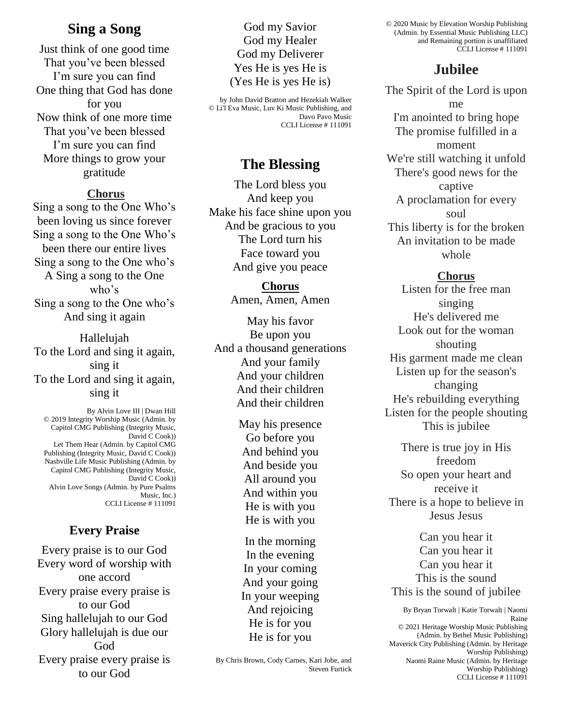## **Sing a Song**

Just think of one good time That you've been blessed I'm sure you can find One thing that God has done for you Now think of one more time That you've been blessed I'm sure you can find More things to grow your gratitude

#### **Chorus**

Sing a song to the One Who's been loving us since forever Sing a song to the One Who's been there our entire lives Sing a song to the One who's A Sing a song to the One who's Sing a song to the One who's And sing it again

Hallelujah To the Lord and sing it again, sing it To the Lord and sing it again, sing it

By Alvin Love III | Dwan Hill © 2019 Integrity Worship Music (Admin. by Capitol CMG Publishing (Integrity Music, David C Cook)) Let Them Hear (Admin. by Capitol CMG Publishing (Integrity Music, David C Cook)) Nashville Life Music Publishing (Admin. by Capitol CMG Publishing (Integrity Music, David C Cook)) Alvin Love Songs (Admin. by Pure Psalms Music, Inc.) CCLI License # 111091

### **Every Praise**

Every praise is to our God Every word of worship with one accord Every praise every praise is to our God Sing hallelujah to our God Glory hallelujah is due our God Every praise every praise is to our God

God my Savior God my Healer God my Deliverer Yes He is yes He is (Yes He is yes He is)

by John David Bratton and Hezekiah Walker © Li'l Eva Music, Luv Ki Music Publishing, and Davo Pavo Music CCLI License # 111091

#### **The Blessing**

The Lord bless you And keep you Make his face shine upon you And be gracious to you The Lord turn his Face toward you And give you peace

> **Chorus**  Amen, Amen, Amen

May his favor Be upon you And a thousand generations And your family And your children And their children And their children

> May his presence Go before you And behind you And beside you All around you And within you He is with you He is with you

In the morning In the evening In your coming And your going In your weeping And rejoicing He is for you He is for you

By Chris Brown, Cody Carnes, Kari Jobe, and Steven Furtick © 2020 Music by Elevation Worship Publishing (Admin. by Essential Music Publishing LLC) and Remaining portion is unaffiliated CCLI License # 111091

### **Jubilee**

The Spirit of the Lord is upon me I'm anointed to bring hope The promise fulfilled in a moment We're still watching it unfold There's good news for the captive A proclamation for every soul This liberty is for the broken An invitation to be made whole

#### **Chorus**

Listen for the free man singing He's delivered me Look out for the woman shouting His garment made me clean Listen up for the season's changing He's rebuilding everything Listen for the people shouting This is jubilee

There is true joy in His freedom So open your heart and receive it There is a hope to believe in Jesus Jesus

Can you hear it Can you hear it Can you hear it This is the sound This is the sound of jubilee

By Bryan Torwalt | Katie Torwalt | Naomi Raine © 2021 Heritage Worship Music Publishing (Admin. by Bethel Music Publishing) Maverick City Publishing (Admin. by Heritage Worship Publishing) Naomi Raine Music (Admin. by Heritage Worship Publishing) CCLI License # 111091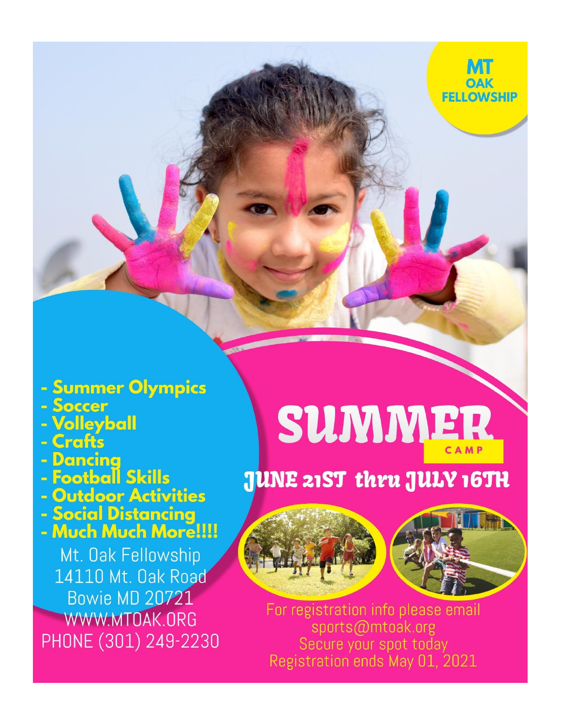

- Soccer
- Volleyball
- Crafts
- Dancing
- Football Skills
- Outdoor Activities
- 
- Social Distancing<br>- Much Much More!!!!

Mt. Oak Fellowship 14110 Mt. Oak Road **Bowie MD 20721** WWW.MT0AK.ORG PHONE (301) 249-2230

# **SUMMER** CAMP

JUNE 21ST thru JULY 16TH



For registration info please email sports@mtoak.org Secure your spot today Registration ends May 01, 2021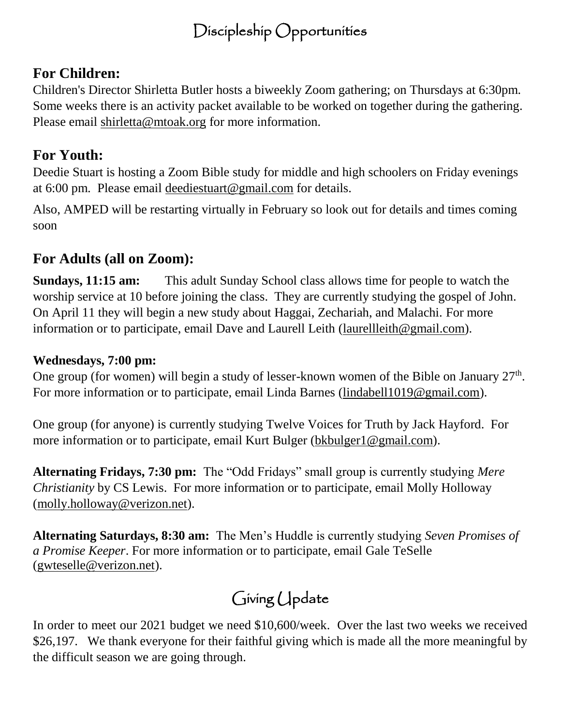# Discipleship Opportunities

# **For Children:**

Children's Director Shirletta Butler hosts a biweekly Zoom gathering; on Thursdays at 6:30pm. Some weeks there is an activity packet available to be worked on together during the gathering. Please email [shirletta@mtoak.org](mailto:shirletta@mtoak.org) for more information.

# **For Youth:**

Deedie Stuart is hosting a Zoom Bible study for middle and high schoolers on Friday evenings at 6:00 pm. Please email [deediestuart@gmail.com](mailto:deediestuart@gmail.com) for details.

Also, AMPED will be restarting virtually in February so look out for details and times coming soon

# **For Adults (all on Zoom):**

**Sundays, 11:15 am:** This adult Sunday School class allows time for people to watch the worship service at 10 before joining the class. They are currently studying the gospel of John. On April 11 they will begin a new study about Haggai, Zechariah, and Malachi. For more information or to participate, email Dave and Laurell Leith [\(laurellleith@gmail.com\)](mailto:laurellleith@gmail.com).

### **Wednesdays, 7:00 pm:**

One group (for women) will begin a study of lesser-known women of the Bible on January  $27<sup>th</sup>$ . For more information or to participate, email Linda Barnes [\(lindabell1019@gmail.com\)](mailto:lindabell1019@gmail.com).

One group (for anyone) is currently studying Twelve Voices for Truth by Jack Hayford. For more information or to participate, email Kurt Bulger [\(bkbulger1@gmail.com\)](mailto:bkbulger1@gmail.com).

**Alternating Fridays, 7:30 pm:** The "Odd Fridays" small group is currently studying *Mere Christianity* by CS Lewis. For more information or to participate, email Molly Holloway [\(molly.holloway@verizon.net\)](mailto:molly.holloway@verizon.net).

**Alternating Saturdays, 8:30 am:** The Men's Huddle is currently studying *Seven Promises of a Promise Keeper*. For more information or to participate, email Gale TeSelle [\(gwteselle@verizon.net\)](mailto:gwteselle@verizon.net).

# Giving Update

In order to meet our 2021 budget we need \$10,600/week. Over the last two weeks we received \$26,197. We thank everyone for their faithful giving which is made all the more meaningful by the difficult season we are going through.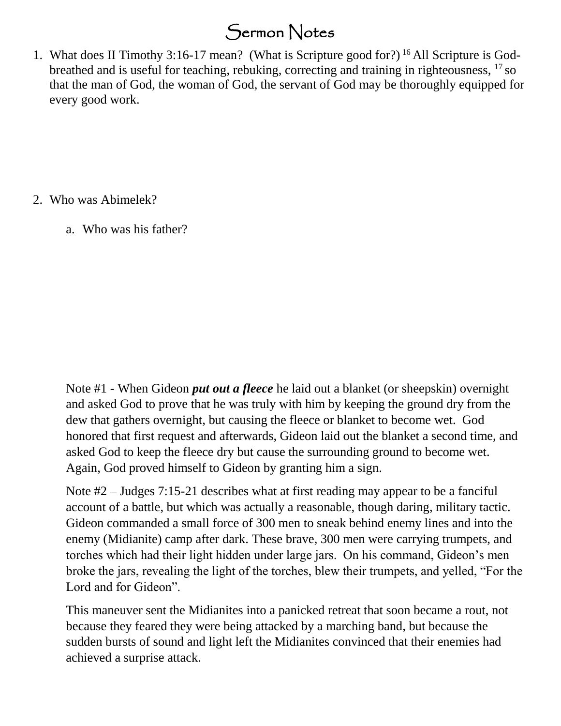# Sermon Notes

1. What does II Timothy 3:16-17 mean? (What is Scripture good for?) <sup>16</sup> All Scripture is Godbreathed and is useful for teaching, rebuking, correcting and training in righteousness, <sup>17</sup> so that the man of God, the woman of God, the servant of God may be thoroughly equipped for every good work.

- 2. Who was Abimelek?
	- a. Who was his father?

Note #1 - When Gideon *put out a fleece* he laid out a blanket (or sheepskin) overnight and asked God to prove that he was truly with him by keeping the ground dry from the dew that gathers overnight, but causing the fleece or blanket to become wet. God honored that first request and afterwards, Gideon laid out the blanket a second time, and asked God to keep the fleece dry but cause the surrounding ground to become wet. Again, God proved himself to Gideon by granting him a sign.

Note #2 – Judges 7:15-21 describes what at first reading may appear to be a fanciful account of a battle, but which was actually a reasonable, though daring, military tactic. Gideon commanded a small force of 300 men to sneak behind enemy lines and into the enemy (Midianite) camp after dark. These brave, 300 men were carrying trumpets, and torches which had their light hidden under large jars. On his command, Gideon's men broke the jars, revealing the light of the torches, blew their trumpets, and yelled, "For the Lord and for Gideon".

This maneuver sent the Midianites into a panicked retreat that soon became a rout, not because they feared they were being attacked by a marching band, but because the sudden bursts of sound and light left the Midianites convinced that their enemies had achieved a surprise attack.